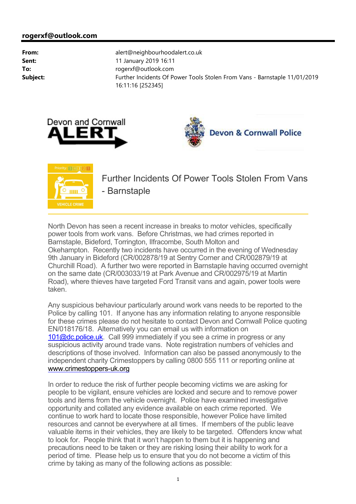





North Devon has seen a recent increase in breaks to motor vehicles, specifically power tools from work vans. Before Christmas, we had crimes reported in Barnstaple, Bideford, Torrington, Ilfracombe, South Molton and Okehampton. Recently two incidents have occurred in the evening of Wednesday 9th January in Bideford (CR/002878/19 at Sentry Corner and CR/002879/19 at Churchill Road). A further two were reported in Barnstaple having occurred overnight on the same date (CR/003033/19 at Park Avenue and CR/002975/19 at Martin Road), where thieves have targeted Ford Transit vans and again, power tools were taken.

Any suspicious behaviour particularly around work vans needs to be reported to the Police by calling 101. If anyone has any information relating to anyone responsible for these crimes please do not hesitate to contact Devon and Cornwall Police quoting EN/018176/18. Alternatively you can email us with information on 101@dc.police.uk. Call 999 immediately if you see a crime in progress or any suspicious activity around trade vans. Note registration numbers of vehicles and descriptions of those involved. Information can also be passed anonymously to the independent charity Crimestoppers by calling 0800 555 111 or reporting online at <www.crimestoppers-uk.org>

In order to reduce the risk of further people becoming victims we are asking for people to be vigilant, ensure vehicles are locked and secure and to remove power tools and items from the vehicle overnight. Police have examined investigative opportunity and collated any evidence available on each crime reported. We continue to work hard to locate those responsible, however Police have limited resources and cannot be everywhere at all times. If members of the public leave valuable items in their vehicles, they are likely to be targeted. Offenders know what to look for. People think that it won't happen to them but it is happening and precautions need to be taken or they are risking losing their ability to work for a period of time. Please help us to ensure that you do not become a victim of this crime by taking as many of the following actions as possible: